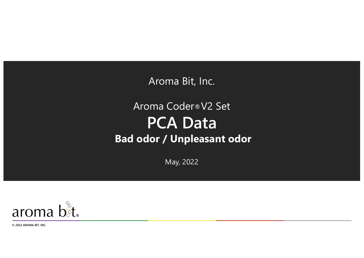Aroma Bit, Inc.

## Aroma Coder®V2 Set **PCA Data Bad odor / Unpleasant odor**

May, 2022



**© 2022 AROMA BIT, INC.**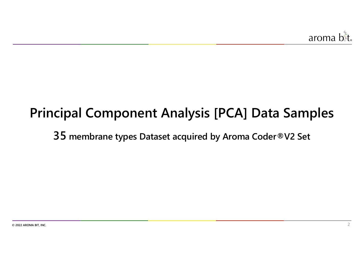# **Principal Component Analysis [PCA] Data Samples**

**35 membrane types Dataset acquired by Aroma Coder®V2 Set**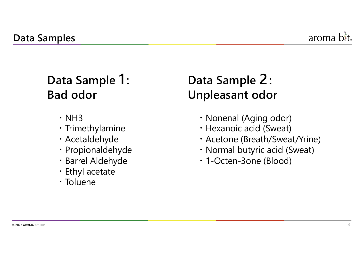

## **Data Sample 1 : Bad odor**

- $\cdot$  NH3
- ・Trimethylamine
- ・Acetaldehyde
- ・Propionaldehyde
- ・Barrel Aldehyde
- ・Ethyl acetate
- ・Toluene

# **Data Sample 2: Unpleasant odor**

- ・Nonenal (Aging odor)
- ・Hexanoic acid (Sweat)
- ・Acetone (Breath/Sweat/Yrine)
- ・Normal butyric acid (Sweat)
- ・1-Octen-3one (Blood)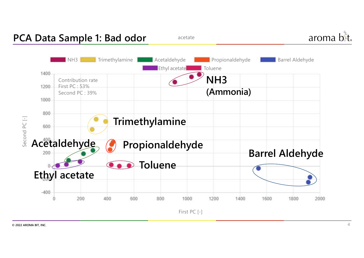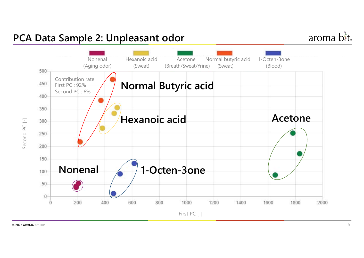### **PCA Data Sample 2: Unpleasant odor**

aroma b<sup>&</sup>t.

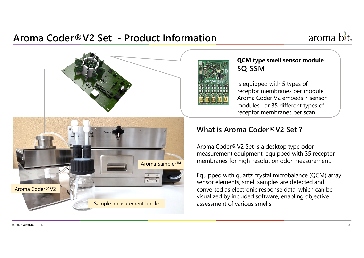### **Aroma Coder®V2 Set - Product Information**





#### **QCM type smell sensor module 5Q-SSM**

is equipped with 5 types of receptor membranes per module. Aroma Coder V2 embeds 7 sensor modules, or 35 different types of receptor membranes per scan.

#### **What is Aroma Coder®V2 Set ?**

Aroma Coder®V2 Set is a desktop type odor measurement equipment, equipped with 35 receptor membranes for high-resolution odor measurement.

Equipped with quartz crystal microbalance (QCM) array sensor elements, smell samples are detected and converted as electronic response data, which can be visualized by included software, enabling objective assessment of various smells.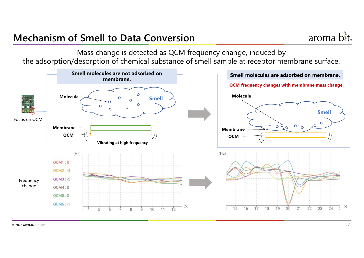### **Mechanism of Smell to Data Conversion**



Mass change is detected as QCM frequency change, induced by the adsorption/desorption of chemical substance of smell sample at receptor membrane surface.